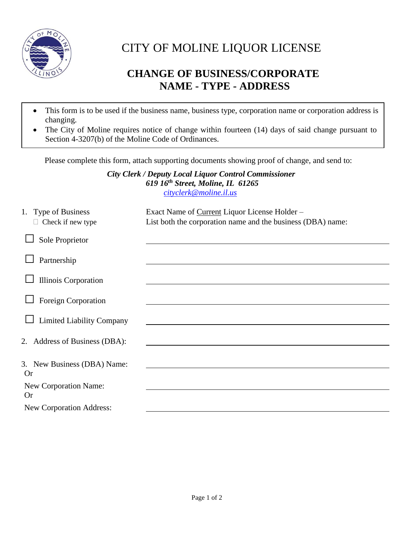

## CITY OF MOLINE LIQUOR LICENSE

## **CHANGE OF BUSINESS/CORPORATE NAME - TYPE - ADDRESS**

- This form is to be used if the business name, business type, corporation name or corporation address is changing.
- The City of Moline requires notice of change within fourteen (14) days of said change pursuant to Section 4-3207(b) of the Moline Code of Ordinances.

Please complete this form, attach supporting documents showing proof of change, and send to:

## *City Clerk / Deputy Local Liquor Control Commissioner 619 16th Street, Moline, IL 61265 [cityclerk@moline.il.us](mailto:cityclerk@moline.il.us)*

| <b>Type of Business</b><br>1.<br>$\Box$ Check if new type | Exact Name of Current Liquor License Holder -<br>List both the corporation name and the business (DBA) name: |
|-----------------------------------------------------------|--------------------------------------------------------------------------------------------------------------|
|                                                           |                                                                                                              |
| Sole Proprietor                                           |                                                                                                              |
| Partnership                                               |                                                                                                              |
| <b>Illinois Corporation</b>                               |                                                                                                              |
|                                                           |                                                                                                              |
| Foreign Corporation                                       |                                                                                                              |
| <b>Limited Liability Company</b>                          |                                                                                                              |
| 2. Address of Business (DBA):                             |                                                                                                              |
|                                                           |                                                                                                              |
| 3. New Business (DBA) Name:                               |                                                                                                              |
| <b>Or</b>                                                 |                                                                                                              |
| New Corporation Name:                                     |                                                                                                              |
| <b>Or</b>                                                 |                                                                                                              |
| <b>New Corporation Address:</b>                           |                                                                                                              |
|                                                           |                                                                                                              |